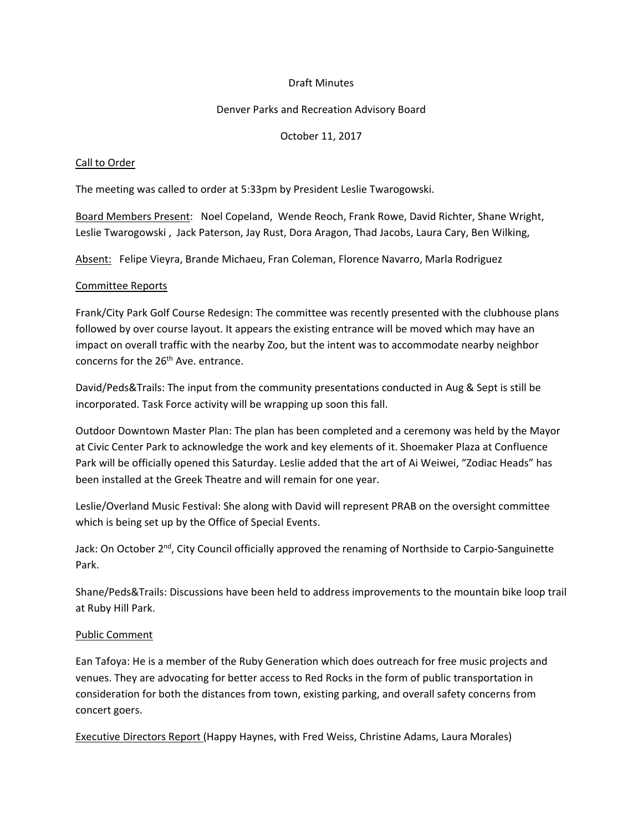## Draft Minutes

## Denver Parks and Recreation Advisory Board

## October 11, 2017

### Call to Order

The meeting was called to order at 5:33pm by President Leslie Twarogowski.

Board Members Present: Noel Copeland, Wende Reoch, Frank Rowe, David Richter, Shane Wright, Leslie Twarogowski , Jack Paterson, Jay Rust, Dora Aragon, Thad Jacobs, Laura Cary, Ben Wilking,

Absent: Felipe Vieyra, Brande Michaeu, Fran Coleman, Florence Navarro, Marla Rodriguez

### Committee Reports

Frank/City Park Golf Course Redesign: The committee was recently presented with the clubhouse plans followed by over course layout. It appears the existing entrance will be moved which may have an impact on overall traffic with the nearby Zoo, but the intent was to accommodate nearby neighbor concerns for the 26<sup>th</sup> Ave. entrance.

David/Peds&Trails: The input from the community presentations conducted in Aug & Sept is still be incorporated. Task Force activity will be wrapping up soon this fall.

Outdoor Downtown Master Plan: The plan has been completed and a ceremony was held by the Mayor at Civic Center Park to acknowledge the work and key elements of it. Shoemaker Plaza at Confluence Park will be officially opened this Saturday. Leslie added that the art of Ai Weiwei, "Zodiac Heads" has been installed at the Greek Theatre and will remain for one year.

Leslie/Overland Music Festival: She along with David will represent PRAB on the oversight committee which is being set up by the Office of Special Events.

Jack: On October 2<sup>nd</sup>, City Council officially approved the renaming of Northside to Carpio-Sanguinette Park.

Shane/Peds&Trails: Discussions have been held to address improvements to the mountain bike loop trail at Ruby Hill Park.

## Public Comment

Ean Tafoya: He is a member of the Ruby Generation which does outreach for free music projects and venues. They are advocating for better access to Red Rocks in the form of public transportation in consideration for both the distances from town, existing parking, and overall safety concerns from concert goers.

Executive Directors Report (Happy Haynes, with Fred Weiss, Christine Adams, Laura Morales)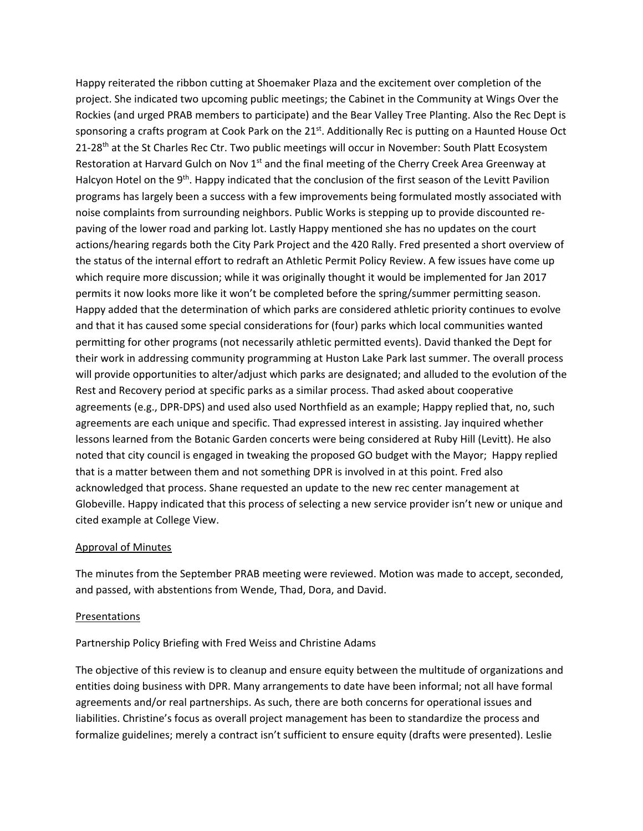Happy reiterated the ribbon cutting at Shoemaker Plaza and the excitement over completion of the project. She indicated two upcoming public meetings; the Cabinet in the Community at Wings Over the Rockies (and urged PRAB members to participate) and the Bear Valley Tree Planting. Also the Rec Dept is sponsoring a crafts program at Cook Park on the 21<sup>st</sup>. Additionally Rec is putting on a Haunted House Oct 21-28<sup>th</sup> at the St Charles Rec Ctr. Two public meetings will occur in November: South Platt Ecosystem Restoration at Harvard Gulch on Nov 1<sup>st</sup> and the final meeting of the Cherry Creek Area Greenway at Halcyon Hotel on the 9<sup>th</sup>. Happy indicated that the conclusion of the first season of the Levitt Pavilion programs has largely been a success with a few improvements being formulated mostly associated with noise complaints from surrounding neighbors. Public Works is stepping up to provide discounted repaving of the lower road and parking lot. Lastly Happy mentioned she has no updates on the court actions/hearing regards both the City Park Project and the 420 Rally. Fred presented a short overview of the status of the internal effort to redraft an Athletic Permit Policy Review. A few issues have come up which require more discussion; while it was originally thought it would be implemented for Jan 2017 permits it now looks more like it won't be completed before the spring/summer permitting season. Happy added that the determination of which parks are considered athletic priority continues to evolve and that it has caused some special considerations for (four) parks which local communities wanted permitting for other programs (not necessarily athletic permitted events). David thanked the Dept for their work in addressing community programming at Huston Lake Park last summer. The overall process will provide opportunities to alter/adjust which parks are designated; and alluded to the evolution of the Rest and Recovery period at specific parks as a similar process. Thad asked about cooperative agreements (e.g., DPR-DPS) and used also used Northfield as an example; Happy replied that, no, such agreements are each unique and specific. Thad expressed interest in assisting. Jay inquired whether lessons learned from the Botanic Garden concerts were being considered at Ruby Hill (Levitt). He also noted that city council is engaged in tweaking the proposed GO budget with the Mayor; Happy replied that is a matter between them and not something DPR is involved in at this point. Fred also acknowledged that process. Shane requested an update to the new rec center management at Globeville. Happy indicated that this process of selecting a new service provider isn't new or unique and cited example at College View.

#### Approval of Minutes

The minutes from the September PRAB meeting were reviewed. Motion was made to accept, seconded, and passed, with abstentions from Wende, Thad, Dora, and David.

#### Presentations

Partnership Policy Briefing with Fred Weiss and Christine Adams

The objective of this review is to cleanup and ensure equity between the multitude of organizations and entities doing business with DPR. Many arrangements to date have been informal; not all have formal agreements and/or real partnerships. As such, there are both concerns for operational issues and liabilities. Christine's focus as overall project management has been to standardize the process and formalize guidelines; merely a contract isn't sufficient to ensure equity (drafts were presented). Leslie